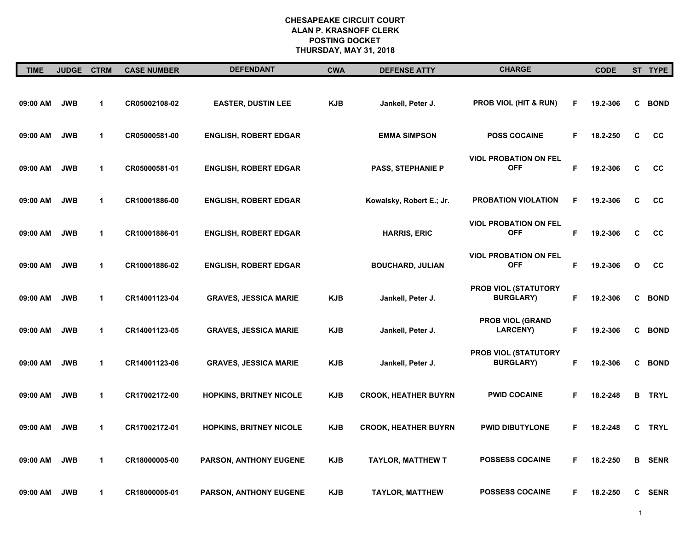| <b>TIME</b> | JUDGE CTRM |              | <b>CASE NUMBER</b> | <b>DEFENDANT</b>               | <b>CWA</b> | <b>DEFENSE ATTY</b>         | <b>CHARGE</b>                                   |    | <b>CODE</b> |   | ST TYPE     |
|-------------|------------|--------------|--------------------|--------------------------------|------------|-----------------------------|-------------------------------------------------|----|-------------|---|-------------|
| 09:00 AM    | <b>JWB</b> | $\mathbf 1$  | CR05002108-02      | <b>EASTER, DUSTIN LEE</b>      | <b>KJB</b> | Jankell, Peter J.           | <b>PROB VIOL (HIT &amp; RUN)</b>                | F  | 19.2-306    | C | <b>BOND</b> |
| 09:00 AM    | <b>JWB</b> | $\mathbf{1}$ | CR05000581-00      | <b>ENGLISH, ROBERT EDGAR</b>   |            | <b>EMMA SIMPSON</b>         | <b>POSS COCAINE</b>                             | F  | 18.2-250    | C | cc          |
| 09:00 AM    | <b>JWB</b> | $\mathbf{1}$ | CR05000581-01      | <b>ENGLISH, ROBERT EDGAR</b>   |            | <b>PASS, STEPHANIE P</b>    | <b>VIOL PROBATION ON FEL</b><br><b>OFF</b>      | F  | 19.2-306    | C | cc          |
| 09:00 AM    | <b>JWB</b> | $\mathbf{1}$ | CR10001886-00      | <b>ENGLISH, ROBERT EDGAR</b>   |            | Kowalsky, Robert E.; Jr.    | <b>PROBATION VIOLATION</b>                      | F  | 19.2-306    | C | cc          |
| 09:00 AM    | <b>JWB</b> | $\mathbf 1$  | CR10001886-01      | <b>ENGLISH, ROBERT EDGAR</b>   |            | <b>HARRIS, ERIC</b>         | <b>VIOL PROBATION ON FEL</b><br><b>OFF</b>      | F  | 19.2-306    | C | cc          |
| 09:00 AM    | <b>JWB</b> | 1            | CR10001886-02      | <b>ENGLISH, ROBERT EDGAR</b>   |            | <b>BOUCHARD, JULIAN</b>     | <b>VIOL PROBATION ON FEL</b><br><b>OFF</b>      | F  | 19.2-306    | O | cc          |
| 09:00 AM    | <b>JWB</b> | 1            | CR14001123-04      | <b>GRAVES, JESSICA MARIE</b>   | <b>KJB</b> | Jankell, Peter J.           | <b>PROB VIOL (STATUTORY</b><br><b>BURGLARY)</b> | F  | 19.2-306    | C | <b>BOND</b> |
| 09:00 AM    | <b>JWB</b> | 1            | CR14001123-05      | <b>GRAVES, JESSICA MARIE</b>   | <b>KJB</b> | Jankell, Peter J.           | <b>PROB VIOL (GRAND</b><br><b>LARCENY)</b>      | F. | 19.2-306    | C | <b>BOND</b> |
| 09:00 AM    | <b>JWB</b> | 1            | CR14001123-06      | <b>GRAVES, JESSICA MARIE</b>   | <b>KJB</b> | Jankell, Peter J.           | PROB VIOL (STATUTORY<br><b>BURGLARY)</b>        | F  | 19.2-306    | C | <b>BOND</b> |
| 09:00 AM    | <b>JWB</b> | $\mathbf 1$  | CR17002172-00      | <b>HOPKINS, BRITNEY NICOLE</b> | <b>KJB</b> | <b>CROOK, HEATHER BUYRN</b> | <b>PWID COCAINE</b>                             | F. | 18.2-248    | В | <b>TRYL</b> |
| 09:00 AM    | <b>JWB</b> | 1            | CR17002172-01      | <b>HOPKINS, BRITNEY NICOLE</b> | <b>KJB</b> | <b>CROOK, HEATHER BUYRN</b> | <b>PWID DIBUTYLONE</b>                          | F  | 18.2-248    | C | <b>TRYL</b> |
| 09:00 AM    | <b>JWB</b> | 1            | CR18000005-00      | PARSON, ANTHONY EUGENE         | <b>KJB</b> | <b>TAYLOR, MATTHEW T</b>    | <b>POSSESS COCAINE</b>                          | F  | 18.2-250    | в | <b>SENR</b> |
| 09:00 AM    | <b>JWB</b> | 1            | CR18000005-01      | PARSON, ANTHONY EUGENE         | <b>KJB</b> | <b>TAYLOR, MATTHEW</b>      | <b>POSSESS COCAINE</b>                          | F. | 18.2-250    | C | <b>SENR</b> |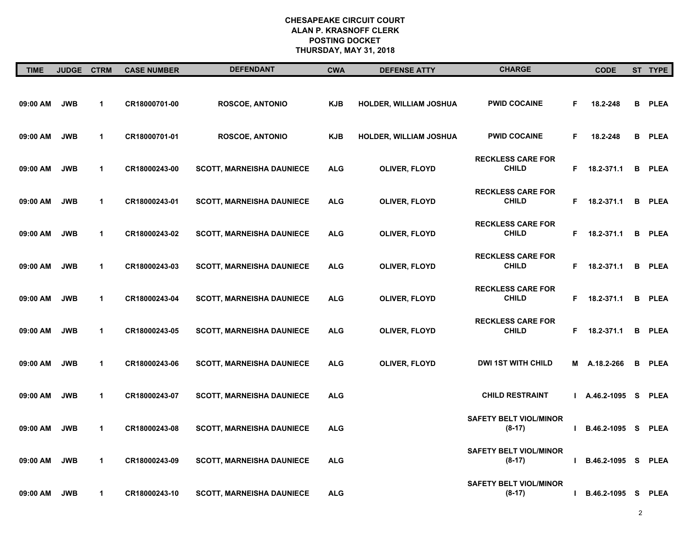| <b>TIME</b> | <b>JUDGE</b> | <b>CTRM</b>          | <b>CASE NUMBER</b> | <b>DEFENDANT</b>                 | <b>CWA</b> | <b>DEFENSE ATTY</b>    | <b>CHARGE</b>                             |    | <b>CODE</b>   |          | ST TYPE     |
|-------------|--------------|----------------------|--------------------|----------------------------------|------------|------------------------|-------------------------------------------|----|---------------|----------|-------------|
| 09:00 AM    | <b>JWB</b>   | $\mathbf{1}$         | CR18000701-00      | <b>ROSCOE, ANTONIO</b>           | <b>KJB</b> | HOLDER, WILLIAM JOSHUA | <b>PWID COCAINE</b>                       | F  | 18.2-248      | В        | <b>PLEA</b> |
| 09:00 AM    | <b>JWB</b>   | $\blacktriangleleft$ | CR18000701-01      | <b>ROSCOE, ANTONIO</b>           | <b>KJB</b> | HOLDER, WILLIAM JOSHUA | <b>PWID COCAINE</b>                       | F  | 18.2-248      | В        | <b>PLEA</b> |
| 09:00 AM    | <b>JWB</b>   | $\mathbf{1}$         | CR18000243-00      | <b>SCOTT, MARNEISHA DAUNIECE</b> | <b>ALG</b> | OLIVER, FLOYD          | <b>RECKLESS CARE FOR</b><br><b>CHILD</b>  | F. | 18.2-371.1    | в        | <b>PLEA</b> |
| 09:00 AM    | <b>JWB</b>   | $\mathbf{1}$         | CR18000243-01      | <b>SCOTT, MARNEISHA DAUNIECE</b> | <b>ALG</b> | <b>OLIVER, FLOYD</b>   | <b>RECKLESS CARE FOR</b><br><b>CHILD</b>  | F. | 18.2-371.1    | В        | <b>PLEA</b> |
| 09:00 AM    | <b>JWB</b>   | $\blacktriangleleft$ | CR18000243-02      | <b>SCOTT, MARNEISHA DAUNIECE</b> | <b>ALG</b> | OLIVER, FLOYD          | <b>RECKLESS CARE FOR</b><br><b>CHILD</b>  | F. | 18.2-371.1    | в        | <b>PLEA</b> |
| 09:00 AM    | <b>JWB</b>   | $\mathbf{1}$         | CR18000243-03      | <b>SCOTT, MARNEISHA DAUNIECE</b> | <b>ALG</b> | <b>OLIVER, FLOYD</b>   | <b>RECKLESS CARE FOR</b><br><b>CHILD</b>  | F. | 18.2-371.1    | В        | <b>PLEA</b> |
| 09:00 AM    | <b>JWB</b>   | $\mathbf{1}$         | CR18000243-04      | <b>SCOTT, MARNEISHA DAUNIECE</b> | <b>ALG</b> | OLIVER, FLOYD          | <b>RECKLESS CARE FOR</b><br><b>CHILD</b>  | F. | 18.2-371.1    | в        | <b>PLEA</b> |
| 09:00 AM    | <b>JWB</b>   | $\mathbf{1}$         | CR18000243-05      | <b>SCOTT, MARNEISHA DAUNIECE</b> | <b>ALG</b> | OLIVER, FLOYD          | <b>RECKLESS CARE FOR</b><br><b>CHILD</b>  | F. | 18.2-371.1    | в        | <b>PLEA</b> |
| 09:00 AM    | <b>JWB</b>   | $\mathbf{1}$         | CR18000243-06      | <b>SCOTT, MARNEISHA DAUNIECE</b> | <b>ALG</b> | OLIVER, FLOYD          | <b>DWI 1ST WITH CHILD</b>                 | М  | A.18.2-266    | в        | <b>PLEA</b> |
| 09:00 AM    | <b>JWB</b>   | $\blacktriangleleft$ | CR18000243-07      | <b>SCOTT, MARNEISHA DAUNIECE</b> | <b>ALG</b> |                        | <b>CHILD RESTRAINT</b>                    |    | A.46.2-1095   | - S      | <b>PLEA</b> |
| 09:00 AM    | <b>JWB</b>   | $\blacktriangleleft$ | CR18000243-08      | <b>SCOTT, MARNEISHA DAUNIECE</b> | <b>ALG</b> |                        | <b>SAFETY BELT VIOL/MINOR</b><br>$(8-17)$ |    | B.46.2-1095   | <b>S</b> | <b>PLEA</b> |
| 09:00 AM    | <b>JWB</b>   | $\mathbf{1}$         | CR18000243-09      | <b>SCOTT, MARNEISHA DAUNIECE</b> | <b>ALG</b> |                        | <b>SAFETY BELT VIOL/MINOR</b><br>$(8-17)$ |    | B.46.2-1095   | <b>S</b> | <b>PLEA</b> |
| 09:00 AM    | <b>JWB</b>   | $\mathbf{1}$         | CR18000243-10      | <b>SCOTT, MARNEISHA DAUNIECE</b> | <b>ALG</b> |                        | <b>SAFETY BELT VIOL/MINOR</b><br>$(8-17)$ | н  | B.46.2-1095 S |          | <b>PLEA</b> |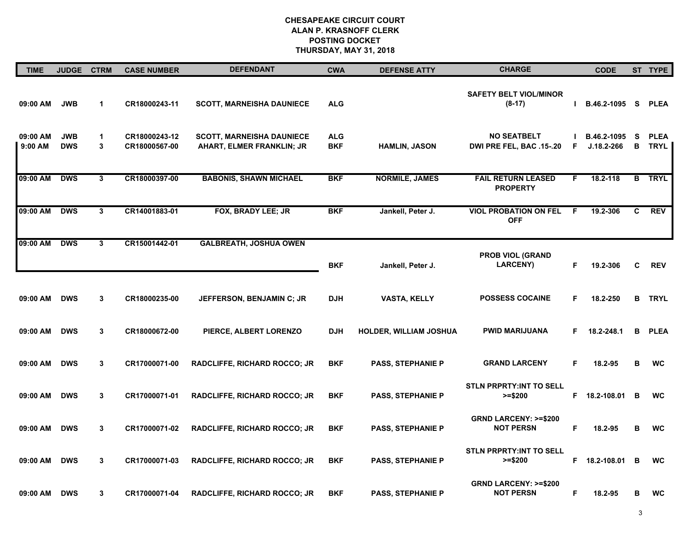| <b>TIME</b>         | JUDGE CTRM               |                      | <b>CASE NUMBER</b>             | <b>DEFENDANT</b>                                                     | <b>CWA</b>               | <b>DEFENSE ATTY</b>           | <b>CHARGE</b>                                       |    | <b>CODE</b>                   |        | ST TYPE                    |
|---------------------|--------------------------|----------------------|--------------------------------|----------------------------------------------------------------------|--------------------------|-------------------------------|-----------------------------------------------------|----|-------------------------------|--------|----------------------------|
| 09:00 AM            | <b>JWB</b>               | $\blacktriangleleft$ | CR18000243-11                  | <b>SCOTT, MARNEISHA DAUNIECE</b>                                     | <b>ALG</b>               |                               | <b>SAFETY BELT VIOL/MINOR</b><br>$(8-17)$           |    | B.46.2-1095 S                 |        | <b>PLEA</b>                |
| 09:00 AM<br>9:00 AM | <b>JWB</b><br><b>DWS</b> | $\mathbf 1$<br>3     | CR18000243-12<br>CR18000567-00 | <b>SCOTT, MARNEISHA DAUNIECE</b><br><b>AHART, ELMER FRANKLIN; JR</b> | <b>ALG</b><br><b>BKF</b> | <b>HAMLIN, JASON</b>          | <b>NO SEATBELT</b><br>DWI PRE FEL, BAC .15-.20      | F  | B.46.2-1095<br>$J.18.2 - 266$ | S<br>В | <b>PLEA</b><br><b>TRYL</b> |
| 09:00 AM            | <b>DWS</b>               | 3                    | CR18000397-00                  | <b>BABONIS, SHAWN MICHAEL</b>                                        | <b>BKF</b>               | <b>NORMILE, JAMES</b>         | <b>FAIL RETURN LEASED</b><br><b>PROPERTY</b>        | F. | 18.2-118                      |        | <b>B</b> TRYL              |
| 09:00 AM            | <b>DWS</b>               | 3                    | CR14001883-01                  | FOX, BRADY LEE; JR                                                   | <b>BKF</b>               | Jankell, Peter J.             | <b>VIOL PROBATION ON FEL</b><br><b>OFF</b>          | E  | 19.2-306                      | C      | <b>REV</b>                 |
| 09:00 AM            | <b>DWS</b>               | 3                    | CR15001442-01                  | <b>GALBREATH, JOSHUA OWEN</b>                                        | <b>BKF</b>               | Jankell, Peter J.             | <b>PROB VIOL (GRAND</b><br><b>LARCENY)</b>          | F  | 19.2-306                      | C      | <b>REV</b>                 |
| 09:00 AM            | <b>DWS</b>               | 3                    | CR18000235-00                  | JEFFERSON, BENJAMIN C; JR                                            | <b>DJH</b>               | <b>VASTA, KELLY</b>           | <b>POSSESS COCAINE</b>                              | F  | 18.2-250                      | в      | <b>TRYL</b>                |
| 09:00 AM            | <b>DWS</b>               | 3                    | CR18000672-00                  | PIERCE, ALBERT LORENZO                                               | <b>DJH</b>               | <b>HOLDER, WILLIAM JOSHUA</b> | <b>PWID MARIJUANA</b>                               | F. | 18.2-248.1                    | в      | <b>PLEA</b>                |
| 09:00 AM            | <b>DWS</b>               | 3                    | CR17000071-00                  | RADCLIFFE, RICHARD ROCCO; JR                                         | <b>BKF</b>               | <b>PASS, STEPHANIE P</b>      | <b>GRAND LARCENY</b>                                | F  | 18.2-95                       | B      | <b>WC</b>                  |
| 09:00 AM            | <b>DWS</b>               | 3                    | CR17000071-01                  | <b>RADCLIFFE, RICHARD ROCCO; JR</b>                                  | <b>BKF</b>               | <b>PASS, STEPHANIE P</b>      | <b>STLN PRPRTY:INT TO SELL</b><br>$>= $200$         |    | F 18.2-108.01                 | B      | <b>WC</b>                  |
| 09:00 AM            | <b>DWS</b>               | 3                    | CR17000071-02                  | <b>RADCLIFFE, RICHARD ROCCO; JR</b>                                  | <b>BKF</b>               | <b>PASS, STEPHANIE P</b>      | <b>GRND LARCENY: &gt;=\$200</b><br><b>NOT PERSN</b> | F  | 18.2-95                       | в      | <b>WC</b>                  |
| 09:00 AM            | <b>DWS</b>               | 3                    | CR17000071-03                  | <b>RADCLIFFE, RICHARD ROCCO; JR</b>                                  | <b>BKF</b>               | <b>PASS, STEPHANIE P</b>      | <b>STLN PRPRTY:INT TO SELL</b><br>$>= $200$         | F. | 18.2-108.01                   | В      | <b>WC</b>                  |
| 09:00 AM            | <b>DWS</b>               | 3                    | CR17000071-04                  | <b>RADCLIFFE, RICHARD ROCCO; JR</b>                                  | <b>BKF</b>               | <b>PASS, STEPHANIE P</b>      | <b>GRND LARCENY: &gt;=\$200</b><br><b>NOT PERSN</b> | F  | 18.2-95                       | в      | <b>WC</b>                  |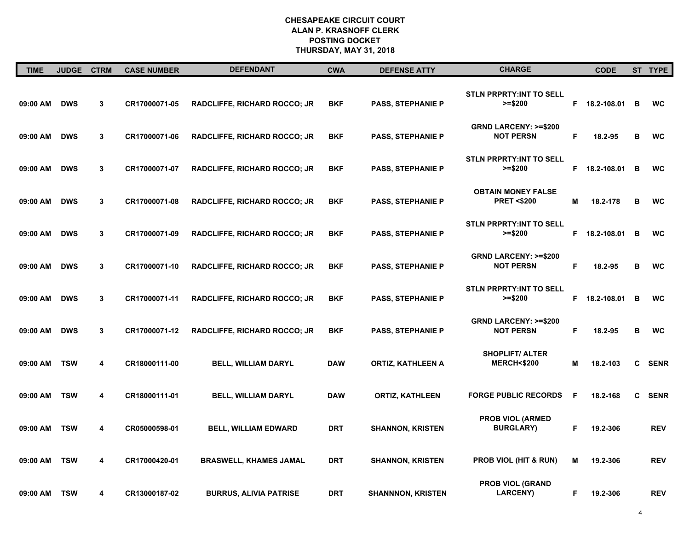| <b>TIME</b> | <b>JUDGE</b> | <b>CTRM</b> | <b>CASE NUMBER</b> | <b>DEFENDANT</b>                    | <b>CWA</b> | <b>DEFENSE ATTY</b>      | <b>CHARGE</b>                                       |    | <b>CODE</b>   |              | ST TYPE     |
|-------------|--------------|-------------|--------------------|-------------------------------------|------------|--------------------------|-----------------------------------------------------|----|---------------|--------------|-------------|
| 09:00 AM    | <b>DWS</b>   | 3           | CR17000071-05      | <b>RADCLIFFE, RICHARD ROCCO; JR</b> | <b>BKF</b> | <b>PASS, STEPHANIE P</b> | <b>STLN PRPRTY:INT TO SELL</b><br>$>= $200$         | F. | 18.2-108.01   | B            | <b>WC</b>   |
| 09:00 AM    | <b>DWS</b>   | 3           | CR17000071-06      | <b>RADCLIFFE, RICHARD ROCCO; JR</b> | <b>BKF</b> | <b>PASS, STEPHANIE P</b> | <b>GRND LARCENY: &gt;=\$200</b><br><b>NOT PERSN</b> | F. | 18.2-95       | В            | <b>WC</b>   |
| 09:00 AM    | <b>DWS</b>   | 3           | CR17000071-07      | <b>RADCLIFFE, RICHARD ROCCO; JR</b> | BKF        | <b>PASS, STEPHANIE P</b> | <b>STLN PRPRTY:INT TO SELL</b><br>$>= $200$         |    | F 18.2-108.01 | B            | <b>WC</b>   |
| 09:00 AM    | <b>DWS</b>   | 3           | CR17000071-08      | <b>RADCLIFFE, RICHARD ROCCO; JR</b> | <b>BKF</b> | <b>PASS, STEPHANIE P</b> | <b>OBTAIN MONEY FALSE</b><br><b>PRET &lt;\$200</b>  | Μ  | 18.2-178      | в            | <b>WC</b>   |
| 09:00 AM    | <b>DWS</b>   | 3           | CR17000071-09      | RADCLIFFE, RICHARD ROCCO; JR        | <b>BKF</b> | <b>PASS, STEPHANIE P</b> | <b>STLN PRPRTY:INT TO SELL</b><br>$>= $200$         |    | F 18.2-108.01 | в            | <b>WC</b>   |
| 09:00 AM    | <b>DWS</b>   | 3           | CR17000071-10      | <b>RADCLIFFE, RICHARD ROCCO; JR</b> | <b>BKF</b> | <b>PASS, STEPHANIE P</b> | <b>GRND LARCENY: &gt;=\$200</b><br><b>NOT PERSN</b> | F  | 18.2-95       | в            | <b>WC</b>   |
| 09:00 AM    | <b>DWS</b>   | 3           | CR17000071-11      | RADCLIFFE, RICHARD ROCCO; JR        | <b>BKF</b> | <b>PASS, STEPHANIE P</b> | <b>STLN PRPRTY:INT TO SELL</b><br>$>= $200$         |    | F 18.2-108.01 | B            | <b>WC</b>   |
| 09:00 AM    | <b>DWS</b>   | 3           | CR17000071-12      | <b>RADCLIFFE, RICHARD ROCCO; JR</b> | <b>BKF</b> | <b>PASS, STEPHANIE P</b> | <b>GRND LARCENY: &gt;=\$200</b><br><b>NOT PERSN</b> | F  | 18.2-95       | в            | <b>WC</b>   |
| 09:00 AM    | <b>TSW</b>   | 4           | CR18000111-00      | <b>BELL, WILLIAM DARYL</b>          | <b>DAW</b> | <b>ORTIZ, KATHLEEN A</b> | <b>SHOPLIFT/ ALTER</b><br><b>MERCH&lt;\$200</b>     | Μ  | 18.2-103      | $\mathbf{c}$ | <b>SENR</b> |
| 09:00 AM    | <b>TSW</b>   | 4           | CR18000111-01      | <b>BELL, WILLIAM DARYL</b>          | <b>DAW</b> | <b>ORTIZ, KATHLEEN</b>   | <b>FORGE PUBLIC RECORDS</b>                         | F  | 18.2-168      | C.           | <b>SENR</b> |
| 09:00 AM    | <b>TSW</b>   | 4           | CR05000598-01      | <b>BELL, WILLIAM EDWARD</b>         | <b>DRT</b> | <b>SHANNON, KRISTEN</b>  | <b>PROB VIOL (ARMED</b><br><b>BURGLARY</b> )        | F. | 19.2-306      |              | <b>REV</b>  |
| 09:00 AM    | <b>TSW</b>   | 4           | CR17000420-01      | <b>BRASWELL, KHAMES JAMAL</b>       | <b>DRT</b> | <b>SHANNON, KRISTEN</b>  | <b>PROB VIOL (HIT &amp; RUN)</b>                    | м  | 19.2-306      |              | <b>REV</b>  |
| 09:00 AM    | <b>TSW</b>   | 4           | CR13000187-02      | <b>BURRUS, ALIVIA PATRISE</b>       | <b>DRT</b> | <b>SHANNNON, KRISTEN</b> | <b>PROB VIOL (GRAND</b><br><b>LARCENY)</b>          | F. | 19.2-306      |              | <b>REV</b>  |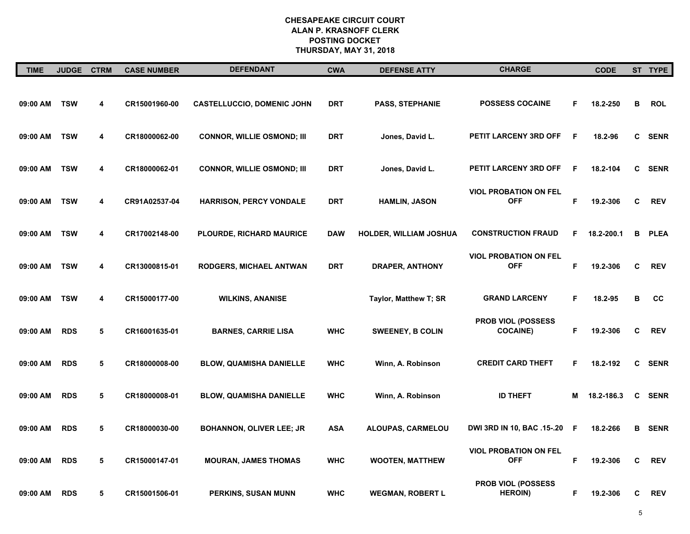| <b>TIME</b> | <b>JUDGE</b> | <b>CTRM</b> | <b>CASE NUMBER</b> | <b>DEFENDANT</b>                  | <b>CWA</b> | <b>DEFENSE ATTY</b>     | <b>CHARGE</b>                               |    | <b>CODE</b> |   | ST TYPE       |
|-------------|--------------|-------------|--------------------|-----------------------------------|------------|-------------------------|---------------------------------------------|----|-------------|---|---------------|
| 09:00 AM    | <b>TSW</b>   | 4           | CR15001960-00      | <b>CASTELLUCCIO, DOMENIC JOHN</b> | DRT        | PASS, STEPHANIE         | <b>POSSESS COCAINE</b>                      | F  | 18.2-250    | В | <b>ROL</b>    |
| 09:00 AM    | <b>TSW</b>   | 4           | CR18000062-00      | <b>CONNOR, WILLIE OSMOND; III</b> | <b>DRT</b> | Jones, David L.         | PETIT LARCENY 3RD OFF                       | F  | 18.2-96     | C | <b>SENR</b>   |
| 09:00 AM    | <b>TSW</b>   | 4           | CR18000062-01      | <b>CONNOR, WILLIE OSMOND; III</b> | DRT        | Jones, David L.         | PETIT LARCENY 3RD OFF                       | F  | 18.2-104    |   | C SENR        |
| 09:00 AM    | <b>TSW</b>   | 4           | CR91A02537-04      | HARRISON, PERCY VONDALE           | DRT        | <b>HAMLIN, JASON</b>    | <b>VIOL PROBATION ON FEL</b><br><b>OFF</b>  | F  | 19.2-306    | C | <b>REV</b>    |
| 09:00 AM    | <b>TSW</b>   | 4           | CR17002148-00      | PLOURDE, RICHARD MAURICE          | <b>DAW</b> | HOLDER, WILLIAM JOSHUA  | <b>CONSTRUCTION FRAUD</b>                   | F  | 18.2-200.1  | в | <b>PLEA</b>   |
| 09:00 AM    | <b>TSW</b>   | 4           | CR13000815-01      | <b>RODGERS, MICHAEL ANTWAN</b>    | DRT        | <b>DRAPER, ANTHONY</b>  | <b>VIOL PROBATION ON FEL</b><br><b>OFF</b>  | F  | 19.2-306    | C | <b>REV</b>    |
| 09:00 AM    | <b>TSW</b>   | 4           | CR15000177-00      | <b>WILKINS, ANANISE</b>           |            | Taylor, Matthew T; SR   | <b>GRAND LARCENY</b>                        | F  | 18.2-95     | в | cc            |
| 09:00 AM    | <b>RDS</b>   | 5           | CR16001635-01      | <b>BARNES, CARRIE LISA</b>        | <b>WHC</b> | <b>SWEENEY, B COLIN</b> | PROB VIOL (POSSESS<br><b>COCAINE)</b>       | F  | 19.2-306    | С | <b>REV</b>    |
| 09:00 AM    | <b>RDS</b>   | 5           | CR18000008-00      | <b>BLOW, QUAMISHA DANIELLE</b>    | <b>WHC</b> | Winn, A. Robinson       | <b>CREDIT CARD THEFT</b>                    | F  | 18.2-192    |   | C SENR        |
| 09:00 AM    | <b>RDS</b>   | 5           | CR18000008-01      | <b>BLOW, QUAMISHA DANIELLE</b>    | <b>WHC</b> | Winn, A. Robinson       | <b>ID THEFT</b>                             | М  | 18.2-186.3  | C | SENR          |
| 09:00 AM    | <b>RDS</b>   | 5           | CR18000030-00      | <b>BOHANNON, OLIVER LEE; JR</b>   | <b>ASA</b> | ALOUPAS, CARMELOU       | DWI 3RD IN 10, BAC .15-.20                  | F  | 18.2-266    |   | <b>B</b> SENR |
| 09:00 AM    | <b>RDS</b>   | 5           | CR15000147-01      | <b>MOURAN, JAMES THOMAS</b>       | <b>WHC</b> | <b>WOOTEN, MATTHEW</b>  | <b>VIOL PROBATION ON FEL</b><br><b>OFF</b>  | F. | 19.2-306    | C | <b>REV</b>    |
| 09:00 AM    | <b>RDS</b>   | 5           | CR15001506-01      | PERKINS, SUSAN MUNN               | <b>WHC</b> | <b>WEGMAN, ROBERT L</b> | <b>PROB VIOL (POSSESS</b><br><b>HEROIN)</b> | F  | 19.2-306    | C | <b>REV</b>    |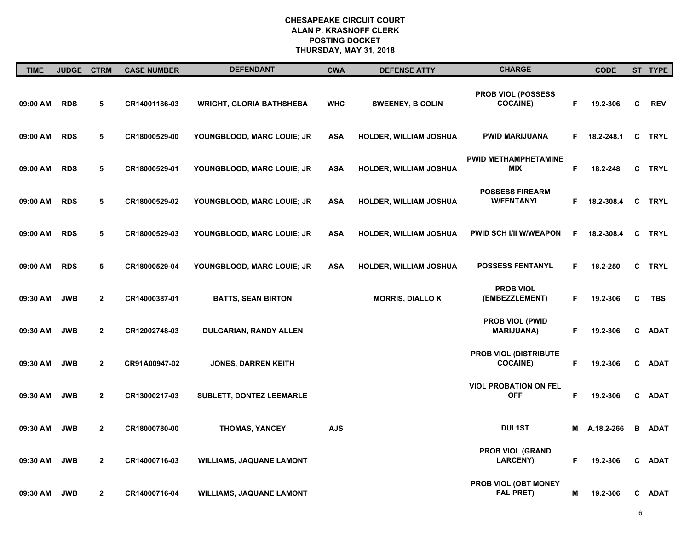| <b>TIME</b> | JUDGE CTRM |              | <b>CASE NUMBER</b> | <b>DEFENDANT</b>                | <b>CWA</b> | <b>DEFENSE ATTY</b>           | <b>CHARGE</b>                               |    | <b>CODE</b> |    | ST TYPE     |
|-------------|------------|--------------|--------------------|---------------------------------|------------|-------------------------------|---------------------------------------------|----|-------------|----|-------------|
| 09:00 AM    | <b>RDS</b> | 5            | CR14001186-03      | <b>WRIGHT, GLORIA BATHSHEBA</b> | <b>WHC</b> | <b>SWEENEY, B COLIN</b>       | PROB VIOL (POSSESS<br><b>COCAINE)</b>       | F. | 19.2-306    | C  | <b>REV</b>  |
| 09:00 AM    | <b>RDS</b> | 5            | CR18000529-00      | YOUNGBLOOD, MARC LOUIE; JR      | <b>ASA</b> | HOLDER, WILLIAM JOSHUA        | <b>PWID MARIJUANA</b>                       | F. | 18.2-248.1  | C  | <b>TRYL</b> |
| 09:00 AM    | <b>RDS</b> | 5            | CR18000529-01      | YOUNGBLOOD, MARC LOUIE; JR      | <b>ASA</b> | HOLDER, WILLIAM JOSHUA        | PWID METHAMPHETAMINE<br><b>MIX</b>          | F  | 18.2-248    | C. | <b>TRYL</b> |
| 09:00 AM    | <b>RDS</b> | 5            | CR18000529-02      | YOUNGBLOOD, MARC LOUIE; JR      | <b>ASA</b> | <b>HOLDER, WILLIAM JOSHUA</b> | <b>POSSESS FIREARM</b><br><b>W/FENTANYL</b> | F. | 18.2-308.4  | C  | <b>TRYL</b> |
| 09:00 AM    | <b>RDS</b> | 5            | CR18000529-03      | YOUNGBLOOD, MARC LOUIE; JR      | <b>ASA</b> | <b>HOLDER, WILLIAM JOSHUA</b> | <b>PWID SCH I/II W/WEAPON</b>               | F  | 18.2-308.4  | C  | <b>TRYL</b> |
| 09:00 AM    | <b>RDS</b> | 5            | CR18000529-04      | YOUNGBLOOD, MARC LOUIE; JR      | <b>ASA</b> | HOLDER, WILLIAM JOSHUA        | <b>POSSESS FENTANYL</b>                     | F  | 18.2-250    | C. | <b>TRYL</b> |
| 09:30 AM    | <b>JWB</b> | $\mathbf{2}$ | CR14000387-01      | <b>BATTS, SEAN BIRTON</b>       |            | <b>MORRIS, DIALLO K</b>       | <b>PROB VIOL</b><br>(EMBEZZLEMENT)          | F. | 19.2-306    | C  | <b>TBS</b>  |
| 09:30 AM    | <b>JWB</b> | $\mathbf{2}$ | CR12002748-03      | DULGARIAN, RANDY ALLEN          |            |                               | PROB VIOL (PWID<br><b>MARIJUANA)</b>        | F. | 19.2-306    | C  | <b>ADAT</b> |
| 09:30 AM    | <b>JWB</b> | $\mathbf{2}$ | CR91A00947-02      | <b>JONES, DARREN KEITH</b>      |            |                               | PROB VIOL (DISTRIBUTE<br><b>COCAINE)</b>    | F  | 19.2-306    | C  | <b>ADAT</b> |
| 09:30 AM    | <b>JWB</b> | $\mathbf{2}$ | CR13000217-03      | <b>SUBLETT, DONTEZ LEEMARLE</b> |            |                               | <b>VIOL PROBATION ON FEL</b><br><b>OFF</b>  | F  | 19.2-306    | C. | ADAT        |
| 09:30 AM    | <b>JWB</b> | $\mathbf{2}$ | CR18000780-00      | <b>THOMAS, YANCEY</b>           | <b>AJS</b> |                               | <b>DUI 1ST</b>                              | М  | A.18.2-266  | В  | <b>ADAT</b> |
| 09:30 AM    | <b>JWB</b> | $\mathbf{2}$ | CR14000716-03      | <b>WILLIAMS, JAQUANE LAMONT</b> |            |                               | <b>PROB VIOL (GRAND</b><br><b>LARCENY)</b>  | F. | 19.2-306    | C  | <b>ADAT</b> |
| 09:30 AM    | <b>JWB</b> | $\mathbf{2}$ | CR14000716-04      | <b>WILLIAMS, JAQUANE LAMONT</b> |            |                               | PROB VIOL (OBT MONEY<br><b>FAL PRET)</b>    | М  | 19.2-306    |    | C ADAT      |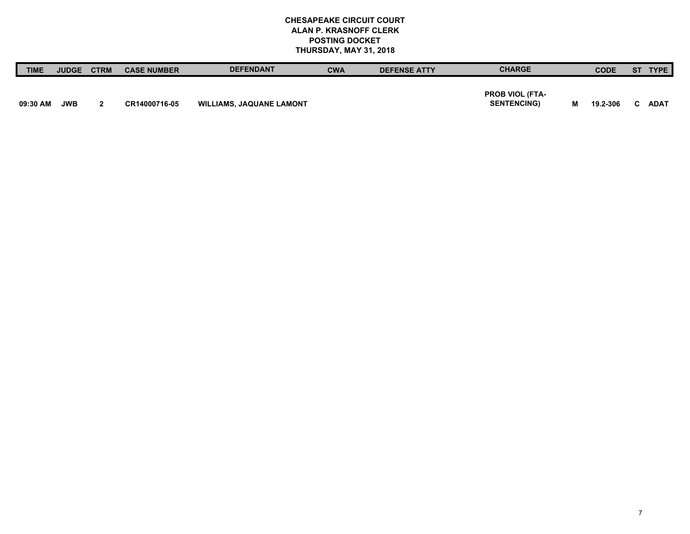| <b>TIME</b> | <b>JUDGE</b> | <b>CTRM</b> | <b>CASE NUMBER</b> | <b>DEFENDANT</b>                | <b>CWA</b> | <b>DEFENSE ATTY</b> | <b>CHARGE</b>          |   | <b>CODE</b> | <b>ST</b> | TYPE.       |
|-------------|--------------|-------------|--------------------|---------------------------------|------------|---------------------|------------------------|---|-------------|-----------|-------------|
|             |              |             |                    |                                 |            |                     |                        |   |             |           |             |
|             |              |             |                    |                                 |            |                     | <b>PROB VIOL (FTA-</b> |   |             |           |             |
| 09:30 AM    | <b>JWB</b>   |             | CR14000716-05      | <b>WILLIAMS, JAQUANE LAMONT</b> |            |                     | <b>SENTENCING)</b>     | M | 19.2-306    |           | <b>ADAT</b> |